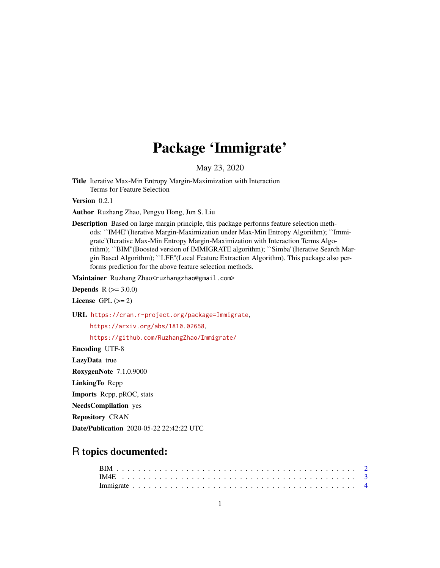## Package 'Immigrate'

May 23, 2020

Title Iterative Max-Min Entropy Margin-Maximization with Interaction Terms for Feature Selection

Version 0.2.1

Author Ruzhang Zhao, Pengyu Hong, Jun S. Liu

Description Based on large margin principle, this package performs feature selection methods: ``IM4E''(Iterative Margin-Maximization under Max-Min Entropy Algorithm); ``Immigrate''(Iterative Max-Min Entropy Margin-Maximization with Interaction Terms Algorithm); ``BIM''(Boosted version of IMMIGRATE algorithm); ``Simba''(Iterative Search Margin Based Algorithm); ``LFE''(Local Feature Extraction Algorithm). This package also performs prediction for the above feature selection methods.

Maintainer Ruzhang Zhao<ruzhangzhao@gmail.com>

**Depends**  $R (= 3.0.0)$ 

License GPL  $(>= 2)$ 

URL <https://cran.r-project.org/package=Immigrate>,

<https://arxiv.org/abs/1810.02658>,

<https://github.com/RuzhangZhao/Immigrate/>

Encoding UTF-8

LazyData true

RoxygenNote 7.1.0.9000

LinkingTo Rcpp

Imports Rcpp, pROC, stats

NeedsCompilation yes

Repository CRAN

Date/Publication 2020-05-22 22:42:22 UTC

### R topics documented: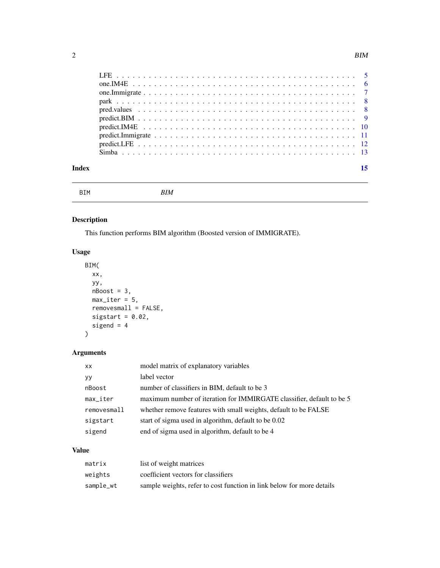<span id="page-1-0"></span>

| Index |  |
|-------|--|
|       |  |

| <b>BIM</b><br><b>BTM</b> |
|--------------------------|
|--------------------------|

#### Description

This function performs BIM algorithm (Boosted version of IMMIGRATE).

#### Usage

```
BIM(
  xx,
  yy,
  nBoost = 3,
  max\_iter = 5,
  removesmall = FALSE,
  sigstart = 0.02,
  sigend = 4\mathcal{L}
```
#### Arguments

| XX.                    | model matrix of explanatory variables                                 |
|------------------------|-----------------------------------------------------------------------|
| yу                     | label vector                                                          |
| nBoost                 | number of classifiers in BIM, default to be 3                         |
| $max$ <sub>Liter</sub> | maximum number of iteration for IMMIRGATE classifier, default to be 5 |
| removesmall            | whether remove features with small weights, default to be FALSE       |
| sigstart               | start of sigma used in algorithm, default to be 0.02                  |
| sigend                 | end of sigma used in algorithm, default to be 4                       |
|                        |                                                                       |

#### Value

| matrix    | list of weight matrices                                               |
|-----------|-----------------------------------------------------------------------|
| weights   | coefficient vectors for classifiers                                   |
| sample_wt | sample weights, refer to cost function in link below for more details |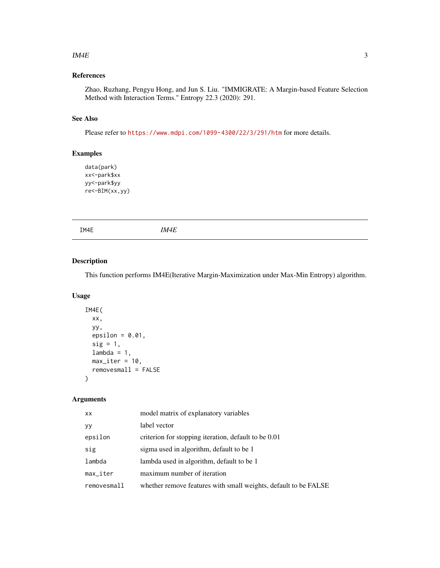#### <span id="page-2-0"></span> $\mu$  IM4E 3

#### References

Zhao, Ruzhang, Pengyu Hong, and Jun S. Liu. "IMMIGRATE: A Margin-based Feature Selection Method with Interaction Terms." Entropy 22.3 (2020): 291.

#### See Also

Please refer to <https://www.mdpi.com/1099-4300/22/3/291/htm> for more details.

#### Examples

```
data(park)
xx<-park$xx
yy<-park$yy
re<-BIM(xx,yy)
```
IM4E *IM4E*

#### Description

This function performs IM4E(Iterative Margin-Maximization under Max-Min Entropy) algorithm.

#### Usage

```
IM4E(
  xx,
 yy,
 epsilon = 0.01,
  sig = 1,
 lambda = 1,
 max\_iter = 10,
  removesmall = FALSE
)
```

| XX          | model matrix of explanatory variables                           |
|-------------|-----------------------------------------------------------------|
| yу          | label vector                                                    |
| epsilon     | criterion for stopping iteration, default to be 0.01            |
| sig         | sigma used in algorithm, default to be 1                        |
| lambda      | lambda used in algorithm, default to be 1                       |
| max_iter    | maximum number of iteration                                     |
| removesmall | whether remove features with small weights, default to be FALSE |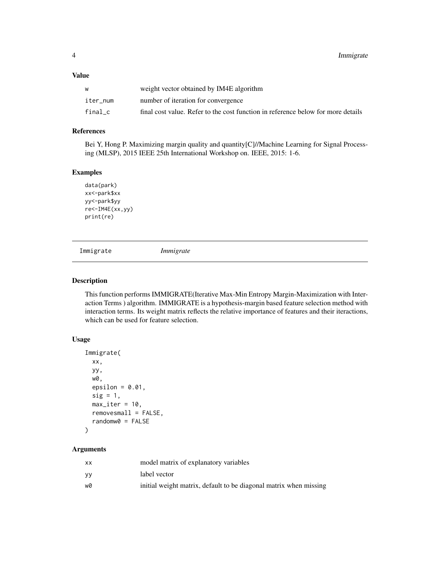<span id="page-3-0"></span>

|          | weight vector obtained by IM4E algorithm                                         |
|----------|----------------------------------------------------------------------------------|
| iter num | number of iteration for convergence                                              |
| final c  | final cost value. Refer to the cost function in reference below for more details |

#### References

Bei Y, Hong P. Maximizing margin quality and quantity[C]//Machine Learning for Signal Processing (MLSP), 2015 IEEE 25th International Workshop on. IEEE, 2015: 1-6.

#### Examples

```
data(park)
xx<-park$xx
yy<-park$yy
re<-IM4E(xx,yy)
print(re)
```
Immigrate *Immigrate*

#### Description

This function performs IMMIGRATE(Iterative Max-Min Entropy Margin-Maximization with Interaction Terms ) algorithm. IMMIGRATE is a hypothesis-margin based feature selection method with interaction terms. Its weight matrix reflects the relative importance of features and their iteractions, which can be used for feature selection.

#### Usage

```
Immigrate(
  xx,
 yy,
 w0,
  epsilon = 0.01,
 sig = 1,
 max\_iter = 10,
 removesmall = FALSE,
  randomw0 = FALSE
)
```

| xх | model matrix of explanatory variables                             |
|----|-------------------------------------------------------------------|
| ۷y | label vector                                                      |
| wØ | initial weight matrix, default to be diagonal matrix when missing |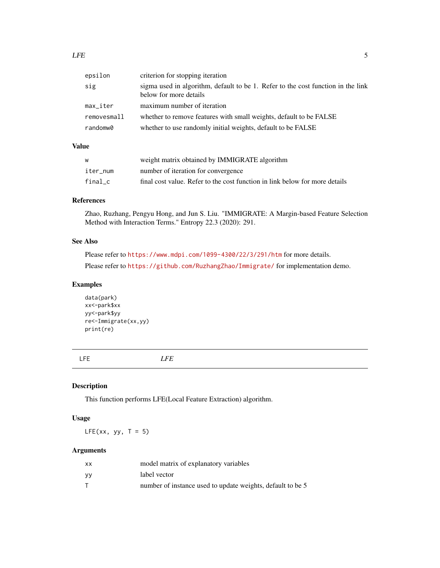<span id="page-4-0"></span>

| epsilon     | criterion for stopping iteration                                                                           |
|-------------|------------------------------------------------------------------------------------------------------------|
| sig         | sigma used in algorithm, default to be 1. Refer to the cost function in the link<br>below for more details |
| $max\_iter$ | maximum number of iteration                                                                                |
| removesmall | whether to remove features with small weights, default to be FALSE                                         |
| randomw0    | whether to use randomly initial weights, default to be FALSE                                               |

| W        | weight matrix obtained by IMMIGRATE algorithm                               |
|----------|-----------------------------------------------------------------------------|
| iter num | number of iteration for convergence                                         |
| final c  | final cost value. Refer to the cost function in link below for more details |

#### References

Zhao, Ruzhang, Pengyu Hong, and Jun S. Liu. "IMMIGRATE: A Margin-based Feature Selection Method with Interaction Terms." Entropy 22.3 (2020): 291.

#### See Also

Please refer to <https://www.mdpi.com/1099-4300/22/3/291/htm> for more details. Please refer to <https://github.com/RuzhangZhao/Immigrate/> for implementation demo.

#### Examples

data(park) xx<-park\$xx yy<-park\$yy re<-Immigrate(xx,yy) print(re)

LFE *LFE*

#### Description

This function performs LFE(Local Feature Extraction) algorithm.

#### Usage

 $LFE(xx, yy, T = 5)$ 

| xх | model matrix of explanatory variables                      |
|----|------------------------------------------------------------|
| yу | label vector                                               |
|    | number of instance used to update weights, default to be 5 |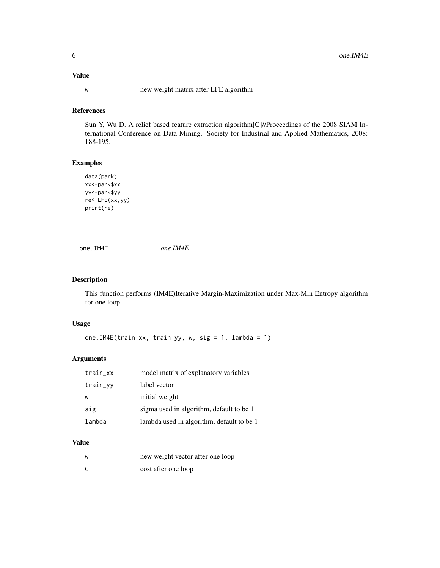<span id="page-5-0"></span>w new weight matrix after LFE algorithm

#### References

Sun Y, Wu D. A relief based feature extraction algorithm[C]//Proceedings of the 2008 SIAM International Conference on Data Mining. Society for Industrial and Applied Mathematics, 2008: 188-195.

#### Examples

data(park) xx<-park\$xx yy<-park\$yy re<-LFE(xx,yy) print(re)

one.IM4E *one.IM4E*

#### Description

This function performs (IM4E)Iterative Margin-Maximization under Max-Min Entropy algorithm for one loop.

#### Usage

one.IM4E(train\_xx, train\_yy, w, sig = 1, lambda = 1)

#### Arguments

| train_xx | model matrix of explanatory variables     |
|----------|-------------------------------------------|
| train_yy | label vector                              |
| W        | initial weight                            |
| sig      | sigma used in algorithm, default to be 1  |
| lambda   | lambda used in algorithm, default to be 1 |
|          |                                           |

#### Value

| W | new weight vector after one loop |
|---|----------------------------------|
|   | cost after one loop              |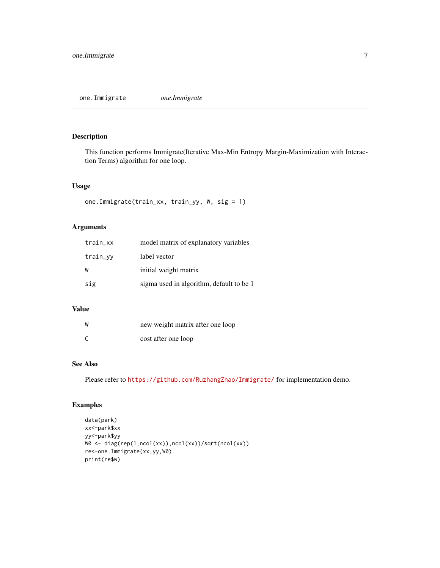#### <span id="page-6-0"></span>Description

This function performs Immigrate(Iterative Max-Min Entropy Margin-Maximization with Interaction Terms) algorithm for one loop.

#### Usage

```
one.Immigrate(train_xx, train_yy, W, sig = 1)
```
#### Arguments

| train_xx | model matrix of explanatory variables    |
|----------|------------------------------------------|
| train_yy | label vector                             |
| W        | initial weight matrix                    |
| sig      | sigma used in algorithm, default to be 1 |

#### Value

| W | new weight matrix after one loop |
|---|----------------------------------|
| C | cost after one loop              |

#### See Also

Please refer to <https://github.com/RuzhangZhao/Immigrate/> for implementation demo.

#### Examples

```
data(park)
xx<-park$xx
yy<-park$yy
W0 <- diag(rep(1,ncol(xx)),ncol(xx))/sqrt(ncol(xx))
re<-one.Immigrate(xx,yy,W0)
print(re$w)
```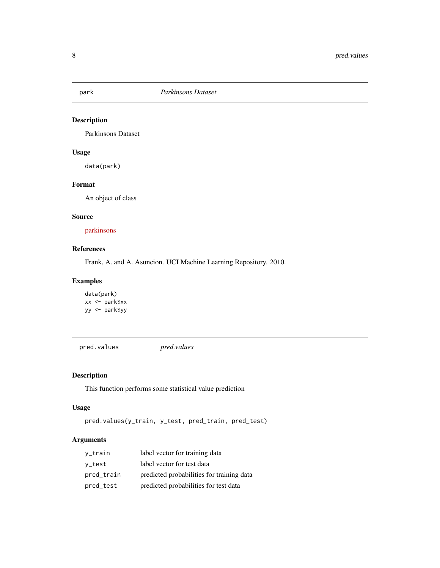<span id="page-7-0"></span>

#### Description

Parkinsons Dataset

#### Usage

data(park)

#### Format

An object of class

#### Source

[parkinsons](https://archive.ics.uci.edu/ml/datasets/parkinsons)

#### References

Frank, A. and A. Asuncion. UCI Machine Learning Repository. 2010.

#### Examples

```
data(park)
xx <- park$xx
yy <- park$yy
```
pred.values *pred.values*

#### Description

This function performs some statistical value prediction

#### Usage

```
pred.values(y_train, y_test, pred_train, pred_test)
```

| y_train    | label vector for training data            |
|------------|-------------------------------------------|
| y_test     | label vector for test data                |
| pred_train | predicted probabilities for training data |
| pred_test  | predicted probabilities for test data     |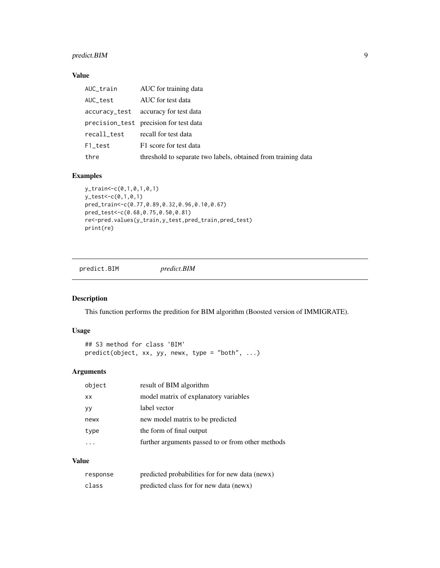#### <span id="page-8-0"></span>predict.BIM 9

#### Value

| AUC_train   | AUC for training data                                         |
|-------------|---------------------------------------------------------------|
| AUC test    | AUC for test data                                             |
|             | accuracy_test accuracy for test data                          |
|             | precision_test precision for test data                        |
| recall_test | recall for test data                                          |
| F1_test     | F1 score for test data                                        |
| thre        | threshold to separate two labels, obtained from training data |

#### Examples

```
y_train<-c(0,1,0,1,0,1)
y_test<-c(0,1,0,1)
pred_train<-c(0.77,0.89,0.32,0.96,0.10,0.67)
pred_test<-c(0.68,0.75,0.50,0.81)
re<-pred.values(y_train,y_test,pred_train,pred_test)
print(re)
```
predict.BIM *predict.BIM*

#### Description

This function performs the predition for BIM algorithm (Boosted version of IMMIGRATE).

#### Usage

```
## S3 method for class 'BIM'
predict(object, xx, yy, newx, type = "both", ...)
```
#### Arguments

| object    | result of BIM algorithm                           |
|-----------|---------------------------------------------------|
| <b>XX</b> | model matrix of explanatory variables             |
| уу        | label vector                                      |
| newx      | new model matrix to be predicted                  |
| type      | the form of final output                          |
|           | further arguments passed to or from other methods |

#### Value

| response | predicted probabilities for for new data (news) |
|----------|-------------------------------------------------|
| class    | predicted class for for new data (news)         |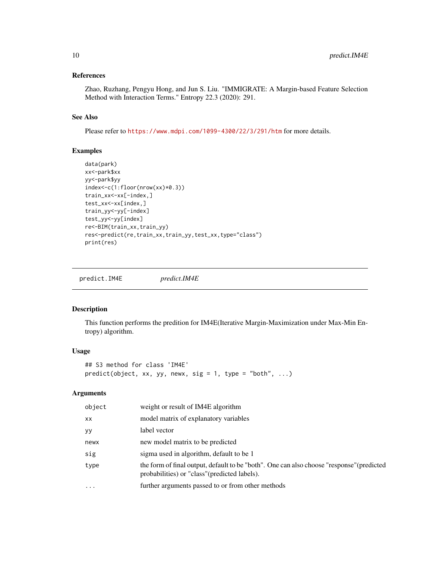#### <span id="page-9-0"></span>References

Zhao, Ruzhang, Pengyu Hong, and Jun S. Liu. "IMMIGRATE: A Margin-based Feature Selection Method with Interaction Terms." Entropy 22.3 (2020): 291.

#### See Also

Please refer to <https://www.mdpi.com/1099-4300/22/3/291/htm> for more details.

#### Examples

```
data(park)
xx<-park$xx
yy<-park$yy
index<-c(1:floor(nrow(xx)*0.3))
train_xx<-xx[-index,]
test_xx<-xx[index,]
train_yy<-yy[-index]
test_yy<-yy[index]
re<-BIM(train_xx,train_yy)
res<-predict(re,train_xx,train_yy,test_xx,type="class")
print(res)
```
predict.IM4E *predict.IM4E*

#### Description

This function performs the predition for IM4E(Iterative Margin-Maximization under Max-Min Entropy) algorithm.

#### Usage

```
## S3 method for class 'IM4E'
predict(object, xx, yy, newx, sig = 1, type = "both", ...)
```

| object    | weight or result of IM4E algorithm                                                                                                         |
|-----------|--------------------------------------------------------------------------------------------------------------------------------------------|
| XX        | model matrix of explanatory variables                                                                                                      |
| уy        | label vector                                                                                                                               |
| newx      | new model matrix to be predicted                                                                                                           |
| sig       | sigma used in algorithm, default to be 1                                                                                                   |
| type      | the form of final output, default to be "both". One can also choose "response" (predicted<br>probabilities) or "class" (predicted labels). |
| $\ddotsc$ | further arguments passed to or from other methods                                                                                          |
|           |                                                                                                                                            |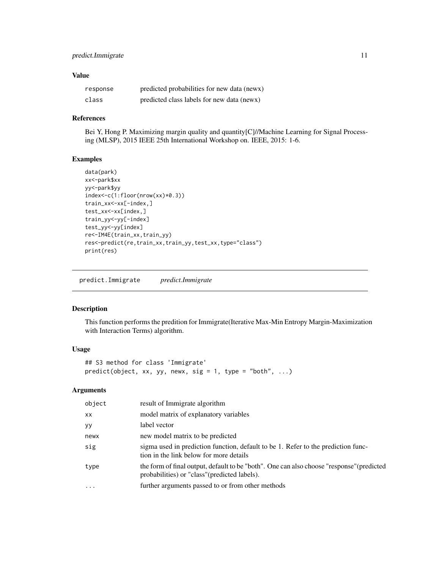#### <span id="page-10-0"></span>predict.Immigrate 11

#### Value

| response | predicted probabilities for new data (news) |
|----------|---------------------------------------------|
| class    | predicted class labels for new data (news)  |

#### References

Bei Y, Hong P. Maximizing margin quality and quantity [C]//Machine Learning for Signal Processing (MLSP), 2015 IEEE 25th International Workshop on. IEEE, 2015: 1-6.

#### Examples

```
data(park)
xx<-park$xx
yy<-park$yy
index<-c(1:floor(nrow(xx)*0.3))
train_xx<-xx[-index,]
test_xx<-xx[index,]
train_yy<-yy[-index]
test_yy<-yy[index]
re<-IM4E(train_xx,train_yy)
res<-predict(re,train_xx,train_yy,test_xx,type="class")
print(res)
```
predict.Immigrate *predict.Immigrate*

#### Description

This function performs the predition for Immigrate(Iterative Max-Min Entropy Margin-Maximization with Interaction Terms) algorithm.

#### Usage

```
## S3 method for class 'Immigrate'
predict(object, xx, yy, newx, sig = 1, type = "both", ...)
```

| object   | result of Immigrate algorithm                                                                                                              |
|----------|--------------------------------------------------------------------------------------------------------------------------------------------|
| XX       | model matrix of explanatory variables                                                                                                      |
| уy       | label vector                                                                                                                               |
| newx     | new model matrix to be predicted                                                                                                           |
| sig      | sigma used in prediction function, default to be 1. Refer to the prediction func-<br>tion in the link below for more details               |
| type     | the form of final output, default to be "both". One can also choose "response" (predicted<br>probabilities) or "class" (predicted labels). |
| $\cdots$ | further arguments passed to or from other methods                                                                                          |
|          |                                                                                                                                            |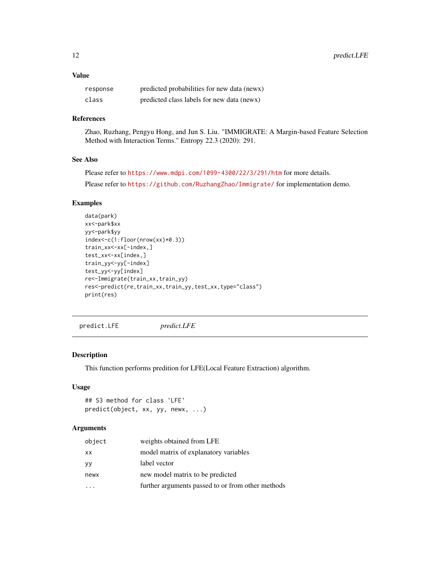<span id="page-11-0"></span>

| response | predicted probabilities for new data (news) |
|----------|---------------------------------------------|
| class    | predicted class labels for new data (news)  |

#### References

Zhao, Ruzhang, Pengyu Hong, and Jun S. Liu. "IMMIGRATE: A Margin-based Feature Selection Method with Interaction Terms." Entropy 22.3 (2020): 291.

#### See Also

Please refer to <https://www.mdpi.com/1099-4300/22/3/291/htm> for more details.

Please refer to <https://github.com/RuzhangZhao/Immigrate/> for implementation demo.

#### Examples

```
data(park)
xx<-park$xx
yy<-park$yy
index<-c(1:floor(nrow(xx)*0.3))
train_xx<-xx[-index,]
test_xx<-xx[index,]
train_yy<-yy[-index]
test_yy<-yy[index]
re<-Immigrate(train_xx,train_yy)
res<-predict(re,train_xx,train_yy,test_xx,type="class")
print(res)
```
predict.LFE *predict.LFE*

#### Description

This function performs predition for LFE(Local Feature Extraction) algorithm.

#### Usage

```
## S3 method for class 'LFE'
predict(object, xx, yy, newx, ...)
```

| object | weights obtained from LFE                         |
|--------|---------------------------------------------------|
| XX     | model matrix of explanatory variables             |
| yу     | label vector                                      |
| newx   | new model matrix to be predicted                  |
|        | further arguments passed to or from other methods |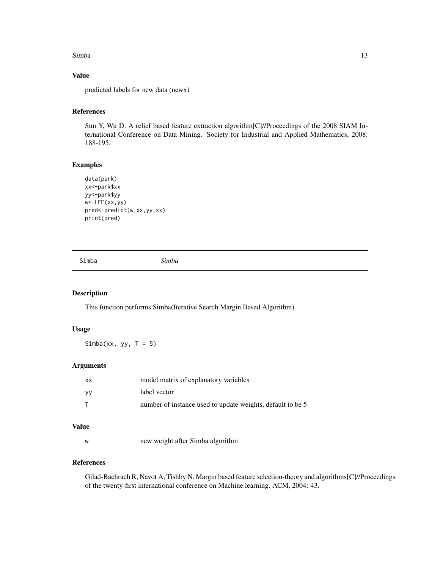#### <span id="page-12-0"></span>Simba 13

#### Value

predicted labels for new data (newx)

#### References

Sun Y, Wu D. A relief based feature extraction algorithm[C]//Proceedings of the 2008 SIAM International Conference on Data Mining. Society for Industrial and Applied Mathematics, 2008: 188-195.

#### Examples

```
data(park)
xx<-park$xx
yy<-park$yy
w<-LFE(xx,yy)
pred<-predict(w,xx,yy,xx)
print(pred)
```
Simba *Simba*

#### Description

This function performs Simba(Iterative Search Margin Based Algorithm).

#### Usage

Simba(xx, yy,  $T = 5$ )

#### Arguments

| <b>XX</b> | model matrix of explanatory variables                      |
|-----------|------------------------------------------------------------|
| yу        | label vector                                               |
|           | number of instance used to update weights, default to be 5 |

#### Value

w new weight after Simba algorithm

#### References

Gilad-Bachrach R, Navot A, Tishby N. Margin based feature selection-theory and algorithms[C]//Proceedings of the twenty-first international conference on Machine learning. ACM, 2004: 43.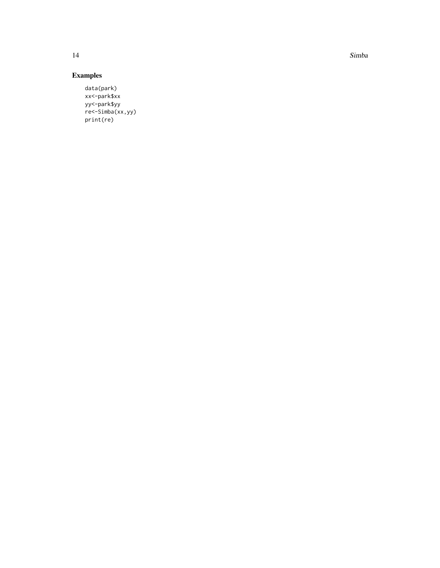14 Simba

#### Examples

data(park) xx<-park\$xx yy<-park\$yy re<-Simba(xx,yy) print(re)